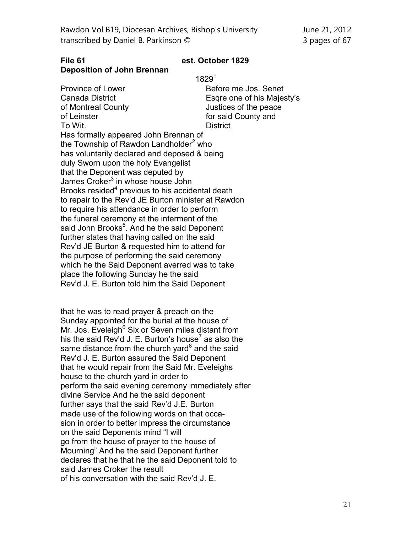| Rawdon Vol B19, Diocesan Archives, Bishop's University |
|--------------------------------------------------------|
| transcribed by Daniel B. Parkinson ©                   |

June 21, 2012 3 pages of 67

## **File 61 est. October 1829 Deposition of John Brennan**

1829<sup>1</sup>

Province of Lower **Before me Jos.** Senet Canada District **Esqre one of his Majesty's** of Montreal County **Control** Justices of the peace of Leinster for said County and To Wit. District Has formally appeared John Brennan of the Township of Rawdon Landholder<sup>2</sup> who has voluntarily declared and deposed & being duly Sworn upon the holy Evangelist that the Deponent was deputed by James Croker<sup>3</sup> in whose house John Brooks resided<sup>4</sup> previous to his accidental death to repair to the Rev'd JE Burton minister at Rawdon to require his attendance in order to perform the funeral ceremony at the interment of the said John Brooks<sup>5</sup>. And he the said Deponent further states that having called on the said Rev'd JE Burton & requested him to attend for the purpose of performing the said ceremony which he the Said Deponent averred was to take place the following Sunday he the said Rev'd J. E. Burton told him the Said Deponent

that he was to read prayer & preach on the Sunday appointed for the burial at the house of Mr. Jos. Eveleigh<sup>6</sup> Six or Seven miles distant from his the said Rev'd J. E. Burton's house<sup>7</sup> as also the same distance from the church yard ${}^{8}$  and the said Rev'd J. E. Burton assured the Said Deponent that he would repair from the Said Mr. Eveleighs house to the church yard in order to perform the said evening ceremony immediately after divine Service And he the said deponent further says that the said Rev'd J.E. Burton made use of the following words on that occasion in order to better impress the circumstance on the said Deponents mind "I will go from the house of prayer to the house of Mourning" And he the said Deponent further declares that he that he the said Deponent told to said James Croker the result of his conversation with the said Rev'd J. E.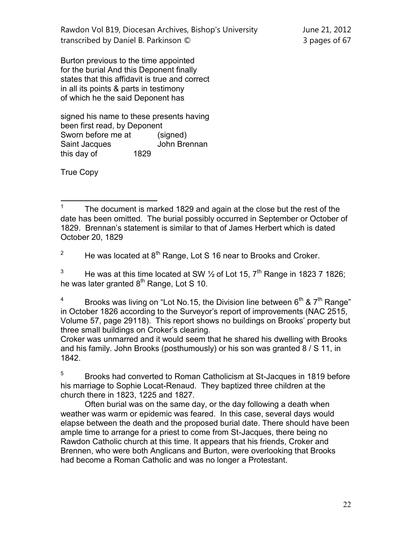Rawdon Vol B19, Diocesan Archives, Bishop's University June 21, 2012 transcribed by Daniel B. Parkinson © 3 pages of 67

Burton previous to the time appointed for the burial And this Deponent finally states that this affidavit is true and correct in all its points & parts in testimony of which he the said Deponent has

signed his name to these presents having been first read, by Deponent Sworn before me at (signed) Saint Jacques **John Brennan** this day of 1829

True Copy

<sup>2</sup> He was located at  $8<sup>th</sup>$  Range, Lot S 16 near to Brooks and Croker.

<sup>3</sup> He was at this time located at SW  $\frac{1}{2}$  of Lot 15, 7<sup>th</sup> Range in 1823 7 1826; he was later granted  $8<sup>th</sup>$  Range, Lot S 10.

<sup>4</sup> Brooks was living on "Lot No.15, the Division line between  $6<sup>th</sup>$  &  $7<sup>th</sup>$  Range" in October 1826 according to the Surveyor's report of improvements (NAC 2515, Volume 57, page 29118). This report shows no buildings on Brooks' property but three small buildings on Croker's clearing.

Croker was unmarred and it would seem that he shared his dwelling with Brooks and his family. John Brooks (posthumously) or his son was granted 8 / S 11, in 1842.

<sup>5</sup> Brooks had converted to Roman Catholicism at St-Jacques in 1819 before his marriage to Sophie Locat-Renaud. They baptized three children at the church there in 1823, 1225 and 1827.

Often burial was on the same day, or the day following a death when weather was warm or epidemic was feared. In this case, several days would elapse between the death and the proposed burial date. There should have been ample time to arrange for a priest to come from St-Jacques, there being no Rawdon Catholic church at this time. It appears that his friends, Croker and Brennen, who were both Anglicans and Burton, were overlooking that Brooks had become a Roman Catholic and was no longer a Protestant.

 $\frac{1}{1}$ The document is marked 1829 and again at the close but the rest of the date has been omitted. The burial possibly occurred in September or October of 1829. Brennan's statement is similar to that of James Herbert which is dated October 20, 1829